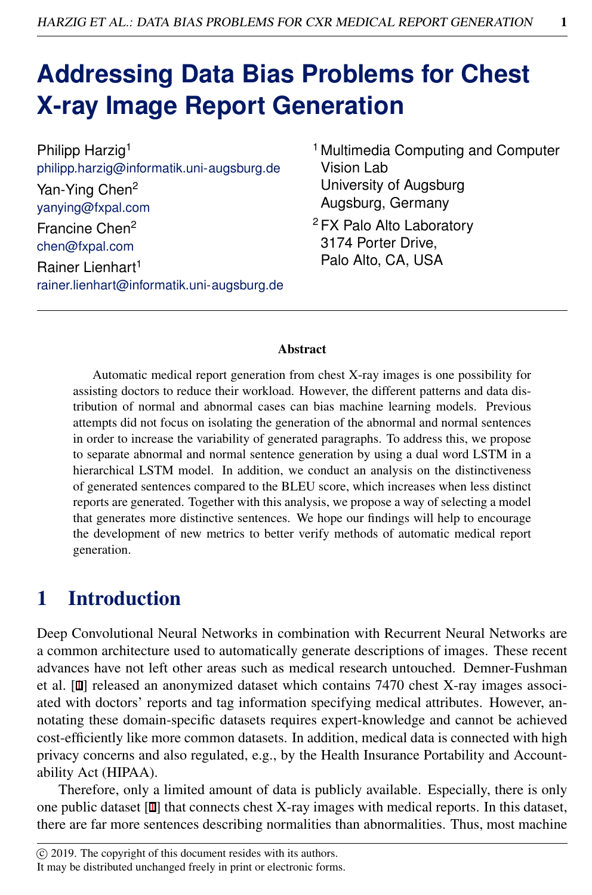# **Addressing Data Bias Problems for Chest X-ray Image Report Generation**

| Philipp Harzig <sup>1</sup>                |
|--------------------------------------------|
| philipp.harzig@informatik.uni-augsburg.de  |
| Yan-Ying Chen <sup>2</sup>                 |
| yanying@fxpal.com                          |
| Francine Chen <sup>2</sup>                 |
| chen@fxpal.com                             |
| Rainer Lienhart <sup>1</sup>               |
| rainer.lienhart@informatik.uni-augsburg.de |

- <sup>1</sup> Multimedia Computing and Computer Vision Lab University of Augsburg Augsburg, Germany
- <sup>2</sup> FX Palo Alto Laboratory 3174 Porter Drive, Palo Alto, CA, USA

#### Abstract

Automatic medical report generation from chest X-ray images is one possibility for assisting doctors to reduce their workload. However, the different patterns and data distribution of normal and abnormal cases can bias machine learning models. Previous attempts did not focus on isolating the generation of the abnormal and normal sentences in order to increase the variability of generated paragraphs. To address this, we propose to separate abnormal and normal sentence generation by using a dual word LSTM in a hierarchical LSTM model. In addition, we conduct an analysis on the distinctiveness of generated sentences compared to the BLEU score, which increases when less distinct reports are generated. Together with this analysis, we propose a way of selecting a model that generates more distinctive sentences. We hope our findings will help to encourage the development of new metrics to better verify methods of automatic medical report generation.

### 1 Introduction

Deep Convolutional Neural Networks in combination with Recurrent Neural Networks are a common architecture used to automatically generate descriptions of images. These recent advances have not left other areas such as medical research untouched. Demner-Fushman et al. [1] released an anonymized dataset which contains 7470 chest X-ray images associated with doctors' reports and tag information specifying medical attributes. However, annotating these domain-specific datasets requires expert-knowledge and cannot be achieved cost-efficiently like more common datasets. In addition, medical data is connected with high privacy concerns and also regulated, e.g., by the Health Insurance Portability and Accountability Act (HIPAA).

Therefore, only a limited amount of data is publicly available. Especially, there is only one public dataset [1] that connects chest X-ray images with medical reports. In this dataset, there are far more sentences describing normalities than abnormalities. Thus, most machine

It may be distributed unchanged freely in print or electronic forms.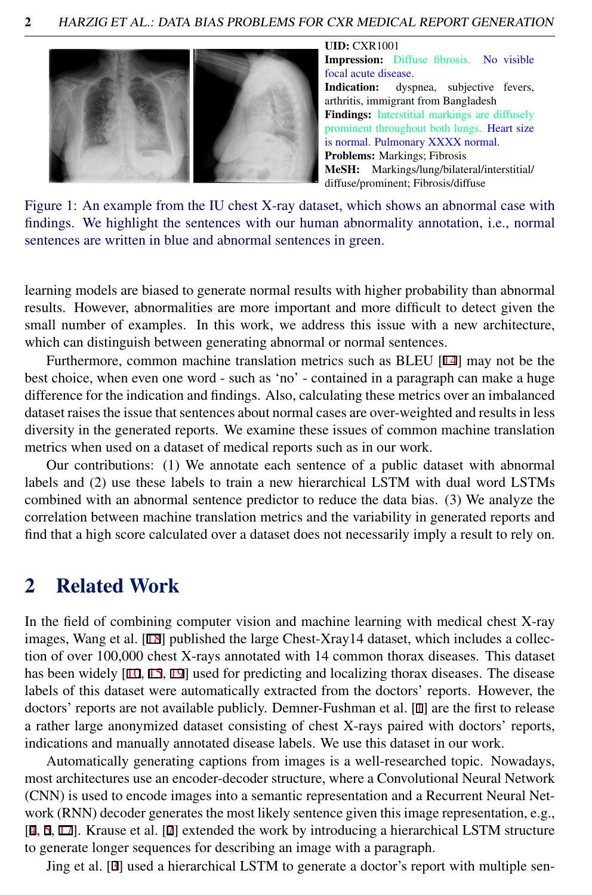<span id="page-1-0"></span>

#### UID: CXR1001 Impression: Diffuse fibrosis. No visible focal acute disease. Indication: dyspnea, subjective fevers, arthritis, immigrant from Bangladesh Findings: Interstitial markings are diffusely prominent throughout both lungs. Heart size is normal. Pulmonary XXXX normal. Problems: Markings; Fibrosis MeSH: Markings/lung/bilateral/interstitial/ diffuse/prominent; Fibrosis/diffuse

Figure 1: An example from the IU chest X-ray dataset, which shows an abnormal case with findings. We highlight the sentences with our human abnormality annotation, i.e., normal sentences are written in blue and abnormal sentences in green.

learning models are biased to generate normal results with higher probability than abnormal results. However, abnormalities are more important and more difficult to detect given the small number of examples. In this work, we address this issue with a new architecture, which can distinguish between generating abnormal or normal sentences.

Furthermore, common machine translation metrics such as BLEU [14] may not be the best choice, when even one word - such as 'no' - contained in a paragraph can make a huge difference for the indication and findings. Also, calculating these metrics over an imbalanced dataset raises the issue that sentences about normal cases are over-weighted and results in less diversity in the generated reports. We examine these issues of common machine translation metrics when used on a dataset of medical reports such as in our work.

Our contributions: (1) We annotate each sentence of a public dataset with abnormal labels and (2) use these labels to train a new hierarchical LSTM with dual word LSTMs combined with an abnormal sentence predictor to reduce the data bias. (3) We analyze the correlation between machine translation metrics and the variability in generated reports and find that a high score calculated over a dataset does not necessarily imply a result to rely on.

### 2 Related Work

In the field of combining computer vision and machine learning with medical chest X-ray images, Wang et al. [18] published the large Chest-Xray14 dataset, which includes a collection of over 100,000 chest X-rays annotated with 14 common thorax diseases. This dataset has been widely [10, 15, 19] used for predicting and localizing thorax diseases. The disease labels of this dataset were automatically extracted from the doctors' reports. However, the doctors' reports are not available publicly. Demner-Fushman et al. [1] are the first to release a rather large anonymized dataset consisting of chest X-rays paired with doctors' reports, indications and manually annotated disease labels. We use this dataset in our work.

Automatically generating captions from images is a well-researched topic. Nowadays, most architectures use an encoder-decoder structure, where a Convolutional Neural Network (CNN) is used to encode images into a semantic representation and a Recurrent Neural Network (RNN) decoder generates the most likely sentence given this image representation, e.g., [4, 5, 17]. Krause et al. [7] extended the work by introducing a hierarchical LSTM structure to generate longer sequences for describing an image with a paragraph.

Jing et al. [3] used a hierarchical LSTM to generate a doctor's report with multiple sen-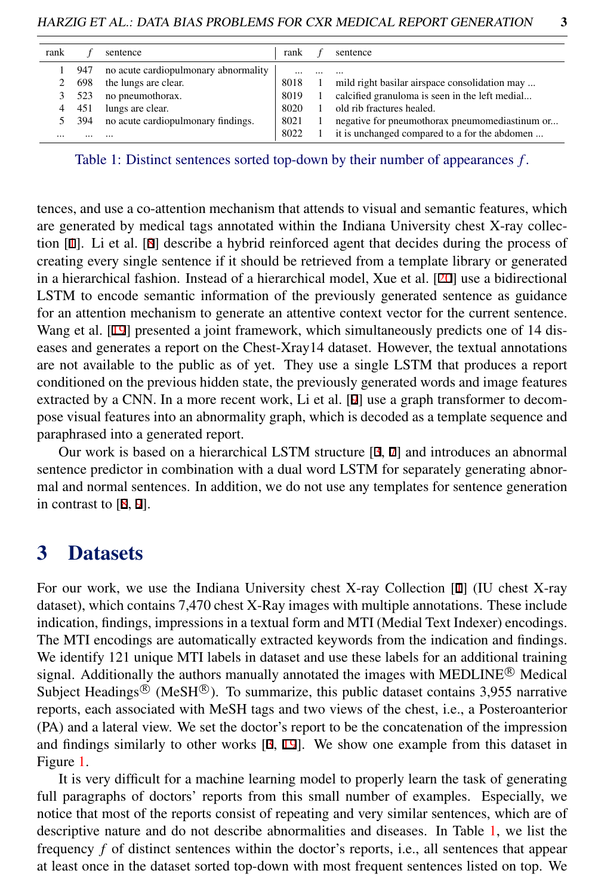<span id="page-2-0"></span>

| rank |     | sentence                             | rank |         | sentence                                       |
|------|-----|--------------------------------------|------|---------|------------------------------------------------|
|      | 947 | no acute cardiopulmonary abnormality |      |         |                                                |
|      | 698 | the lungs are clear.                 | 8018 |         | mild right basilar airspace consolidation may  |
|      | 523 | no pneumothorax.                     | 8019 | $\perp$ | calcified granuloma is seen in the left medial |
|      | 451 | lungs are clear.                     | 8020 |         | old rib fractures healed.                      |
|      | 394 | no acute cardiopulmonary findings.   | 8021 |         | negative for pneumothorax pneumomediastinum or |
|      |     | $\cdots$                             | 8022 |         | it is unchanged compared to a for the abdomen  |

Table 1: Distinct sentences sorted top-down by their number of appearances *f* .

tences, and use a co-attention mechanism that attends to visual and semantic features, which are generated by medical tags annotated within the Indiana University chest X-ray collection [1]. Li et al. [8] describe a hybrid reinforced agent that decides during the process of creating every single sentence if it should be retrieved from a template library or generated in a hierarchical fashion. Instead of a hierarchical model, Xue et al. [20] use a bidirectional LSTM to encode semantic information of the previously generated sentence as guidance for an attention mechanism to generate an attentive context vector for the current sentence. Wang et al. [19] presented a joint framework, which simultaneously predicts one of 14 diseases and generates a report on the Chest-Xray14 dataset. However, the textual annotations are not available to the public as of yet. They use a single LSTM that produces a report conditioned on the previous hidden state, the previously generated words and image features extracted by a CNN. In a more recent work, Li et al. [9] use a graph transformer to decompose visual features into an abnormality graph, which is decoded as a template sequence and paraphrased into a generated report.

Our work is based on a hierarchical LSTM structure [3, 7] and introduces an abnormal sentence predictor in combination with a dual word LSTM for separately generating abnormal and normal sentences. In addition, we do not use any templates for sentence generation in contrast to [8, 9].

### <span id="page-2-1"></span>3 Datasets

For our work, we use the Indiana University chest X-ray Collection [1] (IU chest X-ray dataset), which contains 7,470 chest X-Ray images with multiple annotations. These include indication, findings, impressions in a textual form and MTI (Medial Text Indexer) encodings. The MTI encodings are automatically extracted keywords from the indication and findings. We identify 121 unique MTI labels in dataset and use these labels for an additional training signal. Additionally the authors manually annotated the images with MEDLINE<sup>®</sup> Medical Subject Headings<sup>®</sup> (MeSH<sup>®</sup>). To summarize, this public dataset contains 3,955 narrative reports, each associated with MeSH tags and two views of the chest, i.e., a Posteroanterior (PA) and a lateral view. We set the doctor's report to be the concatenation of the impression and findings similarly to other works [3, 19]. We show one example from this dataset in Figure [1.](#page-1-0)

It is very difficult for a machine learning model to properly learn the task of generating full paragraphs of doctors' reports from this small number of examples. Especially, we notice that most of the reports consist of repeating and very similar sentences, which are of descriptive nature and do not describe abnormalities and diseases. In Table [1,](#page-2-0) we list the frequency *f* of distinct sentences within the doctor's reports, i.e., all sentences that appear at least once in the dataset sorted top-down with most frequent sentences listed on top. We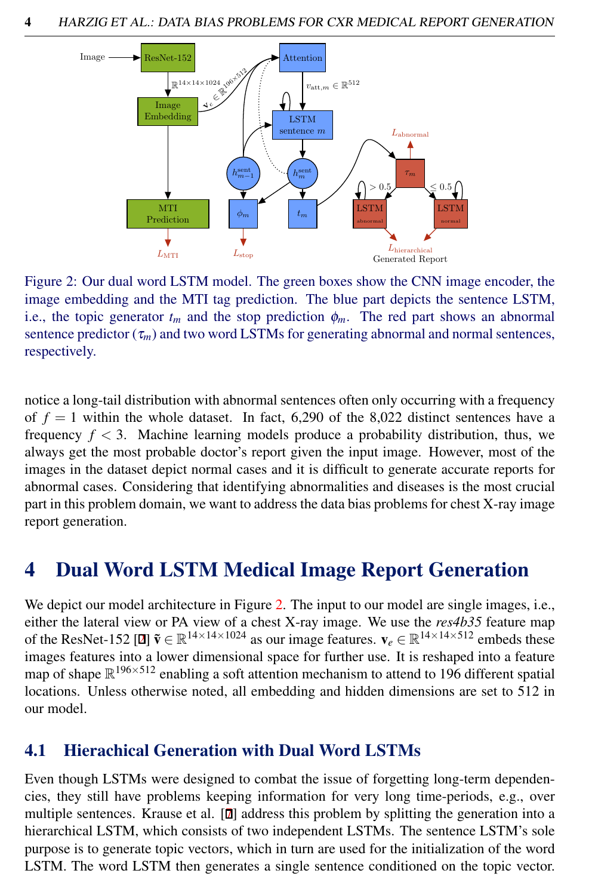<span id="page-3-0"></span>

Figure 2: Our dual word LSTM model. The green boxes show the CNN image encoder, the image embedding and the MTI tag prediction. The blue part depicts the sentence LSTM, i.e., the topic generator  $t_m$  and the stop prediction  $\phi_m$ . The red part shows an abnormal sentence predictor  $(\tau_m)$  and two word LSTMs for generating abnormal and normal sentences, respectively.

notice a long-tail distribution with abnormal sentences often only occurring with a frequency of  $f = 1$  within the whole dataset. In fact, 6,290 of the 8,022 distinct sentences have a frequency  $f < 3$ . Machine learning models produce a probability distribution, thus, we always get the most probable doctor's report given the input image. However, most of the images in the dataset depict normal cases and it is difficult to generate accurate reports for abnormal cases. Considering that identifying abnormalities and diseases is the most crucial part in this problem domain, we want to address the data bias problems for chest X-ray image report generation.

### 4 Dual Word LSTM Medical Image Report Generation

We depict our model architecture in Figure [2.](#page-3-0) The input to our model are single images, i.e., either the lateral view or PA view of a chest X-ray image. We use the *res4b35* feature map of the ResNet-152 [2]  $\tilde{\mathbf{v}} \in \mathbb{R}^{14 \times 14 \times 1024}$  as our image features.  $\mathbf{v}_e \in \mathbb{R}^{14 \times 14 \times 512}$  embeds these images features into a lower dimensional space for further use. It is reshaped into a feature map of shape  $\mathbb{R}^{196\times512}$  enabling a soft attention mechanism to attend to 196 different spatial locations. Unless otherwise noted, all embedding and hidden dimensions are set to 512 in our model.

#### 4.1 Hierachical Generation with Dual Word LSTMs

Even though LSTMs were designed to combat the issue of forgetting long-term dependencies, they still have problems keeping information for very long time-periods, e.g., over multiple sentences. Krause et al. [7] address this problem by splitting the generation into a hierarchical LSTM, which consists of two independent LSTMs. The sentence LSTM's sole purpose is to generate topic vectors, which in turn are used for the initialization of the word LSTM. The word LSTM then generates a single sentence conditioned on the topic vector.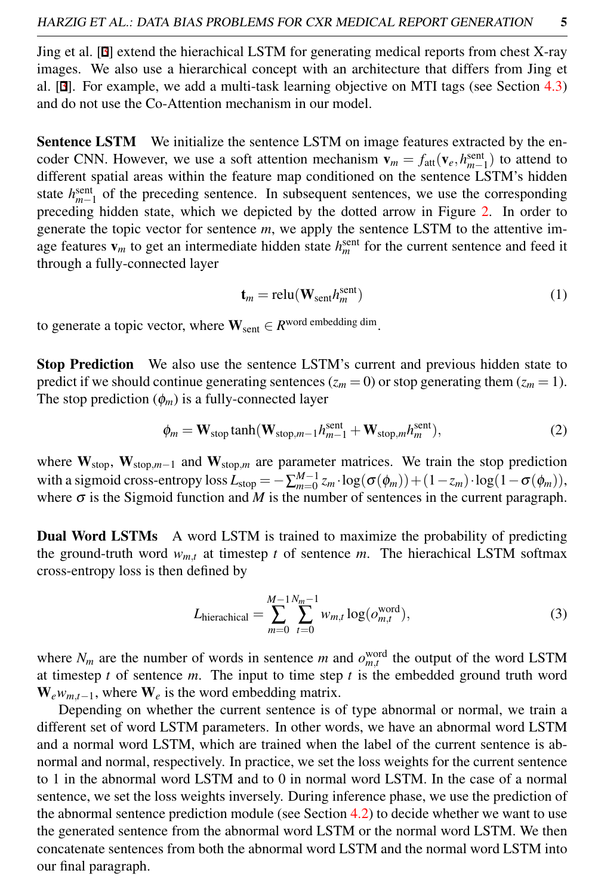Jing et al. [3] extend the hierachical LSTM for generating medical reports from chest X-ray images. We also use a hierarchical concept with an architecture that differs from Jing et al. [3]. For example, we add a multi-task learning objective on MTI tags (see Section [4.3\)](#page-5-0) and do not use the Co-Attention mechanism in our model.

Sentence LSTM We initialize the sentence LSTM on image features extracted by the encoder CNN. However, we use a soft attention mechanism  $\mathbf{v}_m = f_{\text{att}}(\mathbf{v}_e, h_{m-1}^{\text{sent}})$  to attend to different spatial areas within the feature map conditioned on the sentence LSTM's hidden state  $h_{n-1}^{\text{sent}}$  of the preceding sentence. In subsequent sentences, we use the corresponding preceding hidden state, which we depicted by the dotted arrow in Figure [2.](#page-3-0) In order to generate the topic vector for sentence *m*, we apply the sentence LSTM to the attentive image features  $\mathbf{v}_m$  to get an intermediate hidden state  $h_m^{\text{sent}}$  for the current sentence and feed it through a fully-connected layer

$$
\mathbf{t}_m = \text{relu}(\mathbf{W}_{\text{sent}} h_m^{\text{sent}})
$$
 (1)

to generate a topic vector, where  $\mathbf{W}_{\text{sent}} \in R^{\text{word embedding dim}}$ .

Stop Prediction We also use the sentence LSTM's current and previous hidden state to predict if we should continue generating sentences ( $z_m = 0$ ) or stop generating them ( $z_m = 1$ ). The stop prediction  $(\phi_m)$  is a fully-connected layer

$$
\phi_m = \mathbf{W}_{\text{stop}} \tanh(\mathbf{W}_{\text{stop},m-1} h_{m-1}^{\text{sent}} + \mathbf{W}_{\text{stop},m} h_m^{\text{sent}}),
$$
 (2)

where W<sub>stop</sub>, W<sub>stop,*m*−1</sub> and W<sub>stop,*m*</sub> are parameter matrices. We train the stop prediction with a sigmoid cross-entropy loss  $L_{\text{stop}} = -\sum_{m=0}^{M-1} z_m \cdot \log(\sigma(\phi_m)) + (1 - z_m) \cdot \log(1 - \sigma(\phi_m)),$ where  $\sigma$  is the Sigmoid function and *M* is the number of sentences in the current paragraph.

**Dual Word LSTMs** A word LSTM is trained to maximize the probability of predicting the ground-truth word  $w_{m,t}$  at timestep *t* of sentence *m*. The hierachical LSTM softmax cross-entropy loss is then defined by

<span id="page-4-0"></span>
$$
L_{\text{hierarchical}} = \sum_{m=0}^{M-1} \sum_{t=0}^{N_m-1} w_{m,t} \log(o_{m,t}^{\text{word}}), \tag{3}
$$

where  $N_m$  are the number of words in sentence *m* and  $o_{m,t}^{\text{word}}$  the output of the word LSTM at timestep  $t$  of sentence  $m$ . The input to time step  $t$  is the embedded ground truth word  $W_e w_{m,t-1}$ , where  $W_e$  is the word embedding matrix.

Depending on whether the current sentence is of type abnormal or normal, we train a different set of word LSTM parameters. In other words, we have an abnormal word LSTM and a normal word LSTM, which are trained when the label of the current sentence is abnormal and normal, respectively. In practice, we set the loss weights for the current sentence to 1 in the abnormal word LSTM and to 0 in normal word LSTM. In the case of a normal sentence, we set the loss weights inversely. During inference phase, we use the prediction of the abnormal sentence prediction module (see Section  $4.2$ ) to decide whether we want to use the generated sentence from the abnormal word LSTM or the normal word LSTM. We then concatenate sentences from both the abnormal word LSTM and the normal word LSTM into our final paragraph.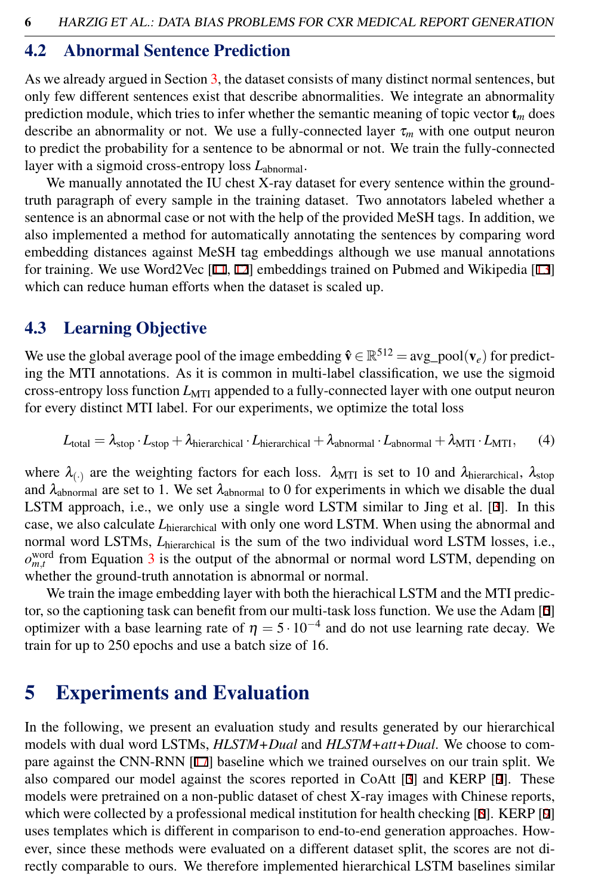#### <span id="page-5-1"></span>4.2 Abnormal Sentence Prediction

As we already argued in Section [3,](#page-2-1) the dataset consists of many distinct normal sentences, but only few different sentences exist that describe abnormalities. We integrate an abnormality prediction module, which tries to infer whether the semantic meaning of topic vector  $t_m$  does describe an abnormality or not. We use a fully-connected layer  $\tau_m$  with one output neuron to predict the probability for a sentence to be abnormal or not. We train the fully-connected layer with a sigmoid cross-entropy loss  $L_{\text{abnormal}}$ .

We manually annotated the IU chest X-ray dataset for every sentence within the groundtruth paragraph of every sample in the training dataset. Two annotators labeled whether a sentence is an abnormal case or not with the help of the provided MeSH tags. In addition, we also implemented a method for automatically annotating the sentences by comparing word embedding distances against MeSH tag embeddings although we use manual annotations for training. We use Word2Vec  $[11, 12]$  embeddings trained on Pubmed and Wikipedia  $[13]$ which can reduce human efforts when the dataset is scaled up.

#### <span id="page-5-0"></span>4.3 Learning Objective

We use the global average pool of the image embedding  $\hat{\mathbf{v}} \in \mathbb{R}^{512} = \text{avg\_pool}(\mathbf{v}_e)$  for predicting the MTI annotations. As it is common in multi-label classification, we use the sigmoid cross-entropy loss function *L*MTI appended to a fully-connected layer with one output neuron for every distinct MTI label. For our experiments, we optimize the total loss

$$
L_{\text{total}} = \lambda_{\text{stop}} \cdot L_{\text{stop}} + \lambda_{\text{hierarchical}} \cdot L_{\text{hierarchical}} + \lambda_{\text{abnormal}} \cdot L_{\text{abnormal}} + \lambda_{\text{MTI}} \cdot L_{\text{MTI}}, \qquad (4)
$$

where  $\lambda_{(.)}$  are the weighting factors for each loss.  $\lambda_{\text{MTI}}$  is set to 10 and  $\lambda_{\text{hierarchical}}$ ,  $\lambda_{\text{stop}}$ and  $\lambda_{\text{abnormal}}$  are set to 1. We set  $\lambda_{\text{abnormal}}$  to 0 for experiments in which we disable the dual LSTM approach, i.e., we only use a single word LSTM similar to Jing et al. [3]. In this case, we also calculate  $L<sub>hierarchical</sub>$  with only one word LSTM. When using the abnormal and normal word LSTMs, *L*hierarchical is the sum of the two individual word LSTM losses, i.e.,  $o_{m,t}^{\text{word}}$  from Equation [3](#page-4-0) is the output of the abnormal or normal word LSTM, depending on whether the ground-truth annotation is abnormal or normal.

We train the image embedding layer with both the hierachical LSTM and the MTI predictor, so the captioning task can benefit from our multi-task loss function. We use the Adam [6] optimizer with a base learning rate of  $\eta = 5 \cdot 10^{-4}$  and do not use learning rate decay. We train for up to 250 epochs and use a batch size of 16.

### 5 Experiments and Evaluation

In the following, we present an evaluation study and results generated by our hierarchical models with dual word LSTMs, *HLSTM+Dual* and *HLSTM+att+Dual*. We choose to compare against the CNN-RNN [17] baseline which we trained ourselves on our train split. We also compared our model against the scores reported in CoAtt [3] and KERP [9]. These models were pretrained on a non-public dataset of chest X-ray images with Chinese reports, which were collected by a professional medical institution for health checking [8]. KERP [9] uses templates which is different in comparison to end-to-end generation approaches. However, since these methods were evaluated on a different dataset split, the scores are not directly comparable to ours. We therefore implemented hierarchical LSTM baselines similar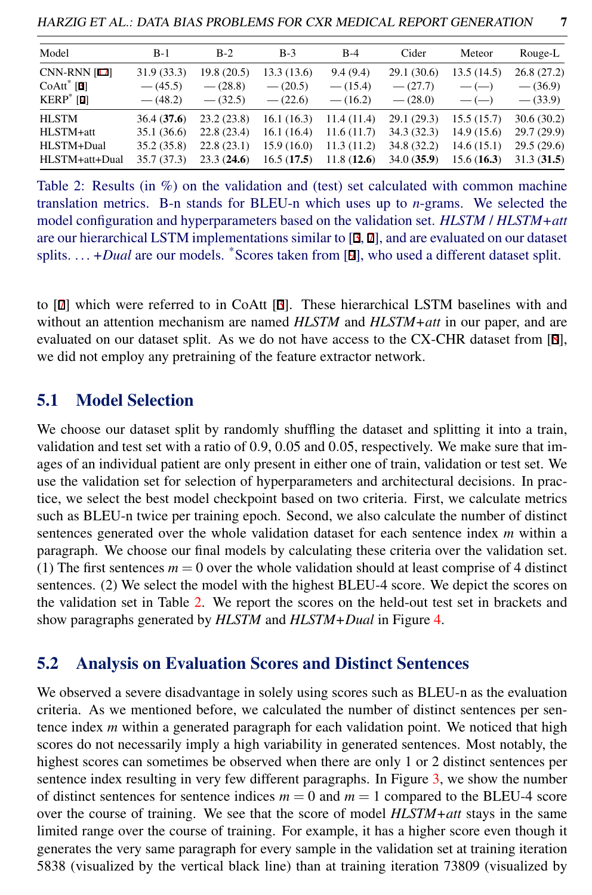<span id="page-6-0"></span>HARZIG ET AL.: DATA BIAS PROBLEMS FOR CXR MEDICAL REPORT GENERATION 7

Table 2: Results (in %) on the validation and (test) set calculated with common machine translation metrics. B-n stands for BLEU-n which uses up to *n*-grams. We selected the model configuration and hyperparameters based on the validation set. *HLSTM* / *HLSTM+att* are our hierarchical LSTM implementations similar to [3, 7], and are evaluated on our dataset splits.  $\dots$  +*Dual* are our models. \*Scores taken from [9], who used a different dataset split.

to [7] which were referred to in CoAtt [3]. These hierarchical LSTM baselines with and without an attention mechanism are named *HLSTM* and *HLSTM+att* in our paper, and are evaluated on our dataset split. As we do not have access to the CX-CHR dataset from [8], we did not employ any pretraining of the feature extractor network.

#### 5.1 Model Selection

We choose our dataset split by randomly shuffling the dataset and splitting it into a train, validation and test set with a ratio of 0.9, 0.05 and 0.05, respectively. We make sure that images of an individual patient are only present in either one of train, validation or test set. We use the validation set for selection of hyperparameters and architectural decisions. In practice, we select the best model checkpoint based on two criteria. First, we calculate metrics such as BLEU-n twice per training epoch. Second, we also calculate the number of distinct sentences generated over the whole validation dataset for each sentence index *m* within a paragraph. We choose our final models by calculating these criteria over the validation set. (1) The first sentences  $m = 0$  over the whole validation should at least comprise of 4 distinct sentences. (2) We select the model with the highest BLEU-4 score. We depict the scores on the validation set in Table [2.](#page-6-0) We report the scores on the held-out test set in brackets and show paragraphs generated by *HLSTM* and *HLSTM+Dual* in Figure [4.](#page-8-0)

#### <span id="page-6-1"></span>5.2 Analysis on Evaluation Scores and Distinct Sentences

We observed a severe disadvantage in solely using scores such as BLEU-n as the evaluation criteria. As we mentioned before, we calculated the number of distinct sentences per sentence index *m* within a generated paragraph for each validation point. We noticed that high scores do not necessarily imply a high variability in generated sentences. Most notably, the highest scores can sometimes be observed when there are only 1 or 2 distinct sentences per sentence index resulting in very few different paragraphs. In Figure [3,](#page-7-0) we show the number of distinct sentences for sentence indices  $m = 0$  and  $m = 1$  compared to the BLEU-4 score over the course of training. We see that the score of model *HLSTM+att* stays in the same limited range over the course of training. For example, it has a higher score even though it generates the very same paragraph for every sample in the validation set at training iteration 5838 (visualized by the vertical black line) than at training iteration 73809 (visualized by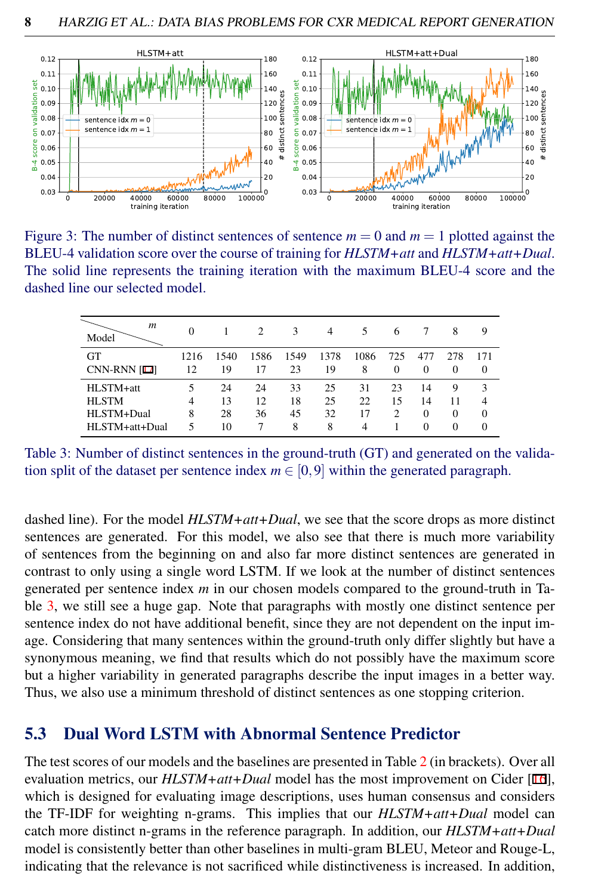<span id="page-7-0"></span>

Figure 3: The number of distinct sentences of sentence  $m = 0$  and  $m = 1$  plotted against the BLEU-4 validation score over the course of training for *HLSTM+att* and *HLSTM+att+Dual*. The solid line represents the training iteration with the maximum BLEU-4 score and the dashed line our selected model.

<span id="page-7-1"></span>

| m<br>Model                                                | 0           |                      | $\mathcal{D}_{\mathcal{A}}$ | 3                   | 4                   | 5                   | 6               |                                  | 8                               | 9                                           |
|-----------------------------------------------------------|-------------|----------------------|-----------------------------|---------------------|---------------------|---------------------|-----------------|----------------------------------|---------------------------------|---------------------------------------------|
| <b>GT</b><br><b>CNN-RNN [17]</b>                          | 1216<br>12  | 1540<br>19           | 1586<br>17                  | 1549<br>23          | 1378<br>19          | 1086<br>8           | 725<br>$\Omega$ | 477<br>$\Omega$                  | 278<br>$\Omega$                 | 171<br>$\Omega$                             |
| HLSTM+att<br><b>HLSTM</b><br>HLSTM+Dual<br>HLSTM+att+Dual | 4<br>8<br>5 | 24<br>13<br>28<br>10 | 24<br>12<br>36              | 33<br>18<br>45<br>8 | 25<br>25<br>32<br>8 | 31<br>22<br>17<br>4 | 23<br>15<br>2   | 14<br>14<br>$\Omega$<br>$\Omega$ | 9<br>11<br>$\Omega$<br>$\Omega$ | 3<br>$\overline{4}$<br>$\Omega$<br>$\Omega$ |

Table 3: Number of distinct sentences in the ground-truth (GT) and generated on the validation split of the dataset per sentence index  $m \in [0, 9]$  within the generated paragraph.

dashed line). For the model *HLSTM+att+Dual*, we see that the score drops as more distinct sentences are generated. For this model, we also see that there is much more variability of sentences from the beginning on and also far more distinct sentences are generated in contrast to only using a single word LSTM. If we look at the number of distinct sentences generated per sentence index *m* in our chosen models compared to the ground-truth in Table [3,](#page-7-1) we still see a huge gap. Note that paragraphs with mostly one distinct sentence per sentence index do not have additional benefit, since they are not dependent on the input image. Considering that many sentences within the ground-truth only differ slightly but have a synonymous meaning, we find that results which do not possibly have the maximum score but a higher variability in generated paragraphs describe the input images in a better way. Thus, we also use a minimum threshold of distinct sentences as one stopping criterion.

#### 5.3 Dual Word LSTM with Abnormal Sentence Predictor

The test scores of our models and the baselines are presented in Table [2](#page-6-0) (in brackets). Over all evaluation metrics, our *HLSTM+att+Dual* model has the most improvement on Cider [16], which is designed for evaluating image descriptions, uses human consensus and considers the TF-IDF for weighting n-grams. This implies that our *HLSTM+att+Dual* model can catch more distinct n-grams in the reference paragraph. In addition, our *HLSTM+att+Dual* model is consistently better than other baselines in multi-gram BLEU, Meteor and Rouge-L, indicating that the relevance is not sacrificed while distinctiveness is increased. In addition,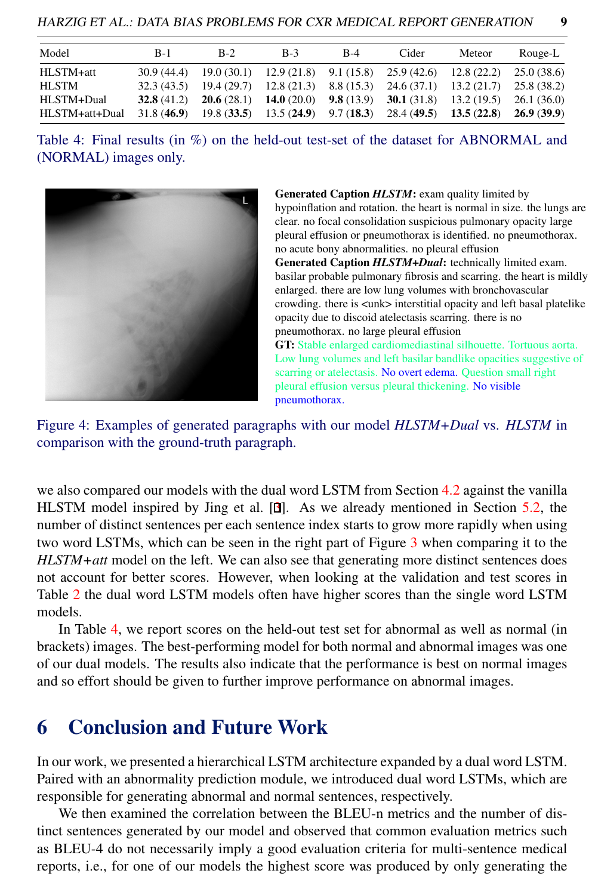<span id="page-8-1"></span>

| Model          | $B-1$ | $B-2$ | $B-3$ | $B-4$ | Cider                                                                                                                 | Meteor | Rouge-L |
|----------------|-------|-------|-------|-------|-----------------------------------------------------------------------------------------------------------------------|--------|---------|
| HLSTM+att      |       |       |       |       | $30.9(44.4)$ $19.0(30.1)$ $12.9(21.8)$ $9.1(15.8)$ $25.9(42.6)$ $12.8(22.2)$ $25.0(38.6)$                             |        |         |
| <b>HLSTM</b>   |       |       |       |       | $32.3(43.5)$ 19.4 (29.7) 12.8 (21.3) 8.8 (15.3) 24.6 (37.1) 13.2 (21.7) 25.8 (38.2)                                   |        |         |
| HLSTM+Dual     |       |       |       |       | <b>32.8</b> (41.2) <b>20.6</b> (28.1) <b>14.0</b> (20.0) <b>9.8</b> (13.9) <b>30.1</b> (31.8) 13.2 (19.5) 26.1 (36.0) |        |         |
| HLSTM+att+Dual |       |       |       |       | $31.8(46.9)$ $19.8(33.5)$ $13.5(24.9)$ $9.7(18.3)$ $28.4(49.5)$ $13.5(22.8)$ $26.9(39.9)$                             |        |         |

Table 4: Final results (in %) on the held-out test-set of the dataset for ABNORMAL and (NORMAL) images only.

<span id="page-8-0"></span>

Generated Caption *HLSTM*: exam quality limited by hypoinflation and rotation. the heart is normal in size. the lungs are clear. no focal consolidation suspicious pulmonary opacity large pleural effusion or pneumothorax is identified. no pneumothorax. no acute bony abnormalities. no pleural effusion Generated Caption *HLSTM+Dual*: technically limited exam. basilar probable pulmonary fibrosis and scarring. the heart is mildly enlarged. there are low lung volumes with bronchovascular crowding. there is <unk> interstitial opacity and left basal platelike opacity due to discoid atelectasis scarring. there is no pneumothorax. no large pleural effusion GT: Stable enlarged cardiomediastinal silhouette. Tortuous aorta. Low lung volumes and left basilar bandlike opacities suggestive of scarring or atelectasis. No overt edema. Question small right pleural effusion versus pleural thickening. No visible

Figure 4: Examples of generated paragraphs with our model *HLSTM+Dual* vs. *HLSTM* in comparison with the ground-truth paragraph.

pneumothorax.

we also compared our models with the dual word LSTM from Section [4.2](#page-5-1) against the vanilla HLSTM model inspired by Jing et al. [3]. As we already mentioned in Section [5.2,](#page-6-1) the number of distinct sentences per each sentence index starts to grow more rapidly when using two word LSTMs, which can be seen in the right part of Figure [3](#page-7-0) when comparing it to the *HLSTM+att* model on the left. We can also see that generating more distinct sentences does not account for better scores. However, when looking at the validation and test scores in Table [2](#page-6-0) the dual word LSTM models often have higher scores than the single word LSTM models.

In Table [4,](#page-8-1) we report scores on the held-out test set for abnormal as well as normal (in brackets) images. The best-performing model for both normal and abnormal images was one of our dual models. The results also indicate that the performance is best on normal images and so effort should be given to further improve performance on abnormal images.

### 6 Conclusion and Future Work

In our work, we presented a hierarchical LSTM architecture expanded by a dual word LSTM. Paired with an abnormality prediction module, we introduced dual word LSTMs, which are responsible for generating abnormal and normal sentences, respectively.

We then examined the correlation between the BLEU-n metrics and the number of distinct sentences generated by our model and observed that common evaluation metrics such as BLEU-4 do not necessarily imply a good evaluation criteria for multi-sentence medical reports, i.e., for one of our models the highest score was produced by only generating the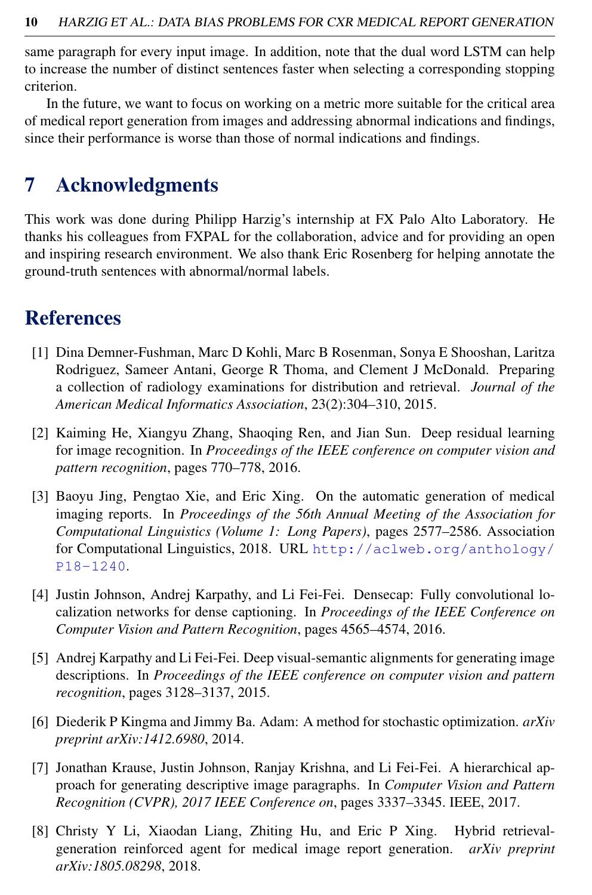same paragraph for every input image. In addition, note that the dual word LSTM can help to increase the number of distinct sentences faster when selecting a corresponding stopping criterion.

In the future, we want to focus on working on a metric more suitable for the critical area of medical report generation from images and addressing abnormal indications and findings, since their performance is worse than those of normal indications and findings.

# 7 Acknowledgments

This work was done during Philipp Harzig's internship at FX Palo Alto Laboratory. He thanks his colleagues from FXPAL for the collaboration, advice and for providing an open and inspiring research environment. We also thank Eric Rosenberg for helping annotate the ground-truth sentences with abnormal/normal labels.

## References

- [1] Dina Demner-Fushman, Marc D Kohli, Marc B Rosenman, Sonya E Shooshan, Laritza Rodriguez, Sameer Antani, George R Thoma, and Clement J McDonald. Preparing a collection of radiology examinations for distribution and retrieval. *Journal of the American Medical Informatics Association*, 23(2):304–310, 2015.
- [2] Kaiming He, Xiangyu Zhang, Shaoqing Ren, and Jian Sun. Deep residual learning for image recognition. In *Proceedings of the IEEE conference on computer vision and pattern recognition*, pages 770–778, 2016.
- [3] Baoyu Jing, Pengtao Xie, and Eric Xing. On the automatic generation of medical imaging reports. In *Proceedings of the 56th Annual Meeting of the Association for Computational Linguistics (Volume 1: Long Papers)*, pages 2577–2586. Association for Computational Linguistics, 2018. URL [http://aclweb.org/anthology/](http://aclweb.org/anthology/P18-1240) [P18-1240](http://aclweb.org/anthology/P18-1240).
- [4] Justin Johnson, Andrej Karpathy, and Li Fei-Fei. Densecap: Fully convolutional localization networks for dense captioning. In *Proceedings of the IEEE Conference on Computer Vision and Pattern Recognition*, pages 4565–4574, 2016.
- [5] Andrej Karpathy and Li Fei-Fei. Deep visual-semantic alignments for generating image descriptions. In *Proceedings of the IEEE conference on computer vision and pattern recognition*, pages 3128–3137, 2015.
- [6] Diederik P Kingma and Jimmy Ba. Adam: A method for stochastic optimization. *arXiv preprint arXiv:1412.6980*, 2014.
- [7] Jonathan Krause, Justin Johnson, Ranjay Krishna, and Li Fei-Fei. A hierarchical approach for generating descriptive image paragraphs. In *Computer Vision and Pattern Recognition (CVPR), 2017 IEEE Conference on*, pages 3337–3345. IEEE, 2017.
- [8] Christy Y Li, Xiaodan Liang, Zhiting Hu, and Eric P Xing. Hybrid retrievalgeneration reinforced agent for medical image report generation. *arXiv preprint arXiv:1805.08298*, 2018.